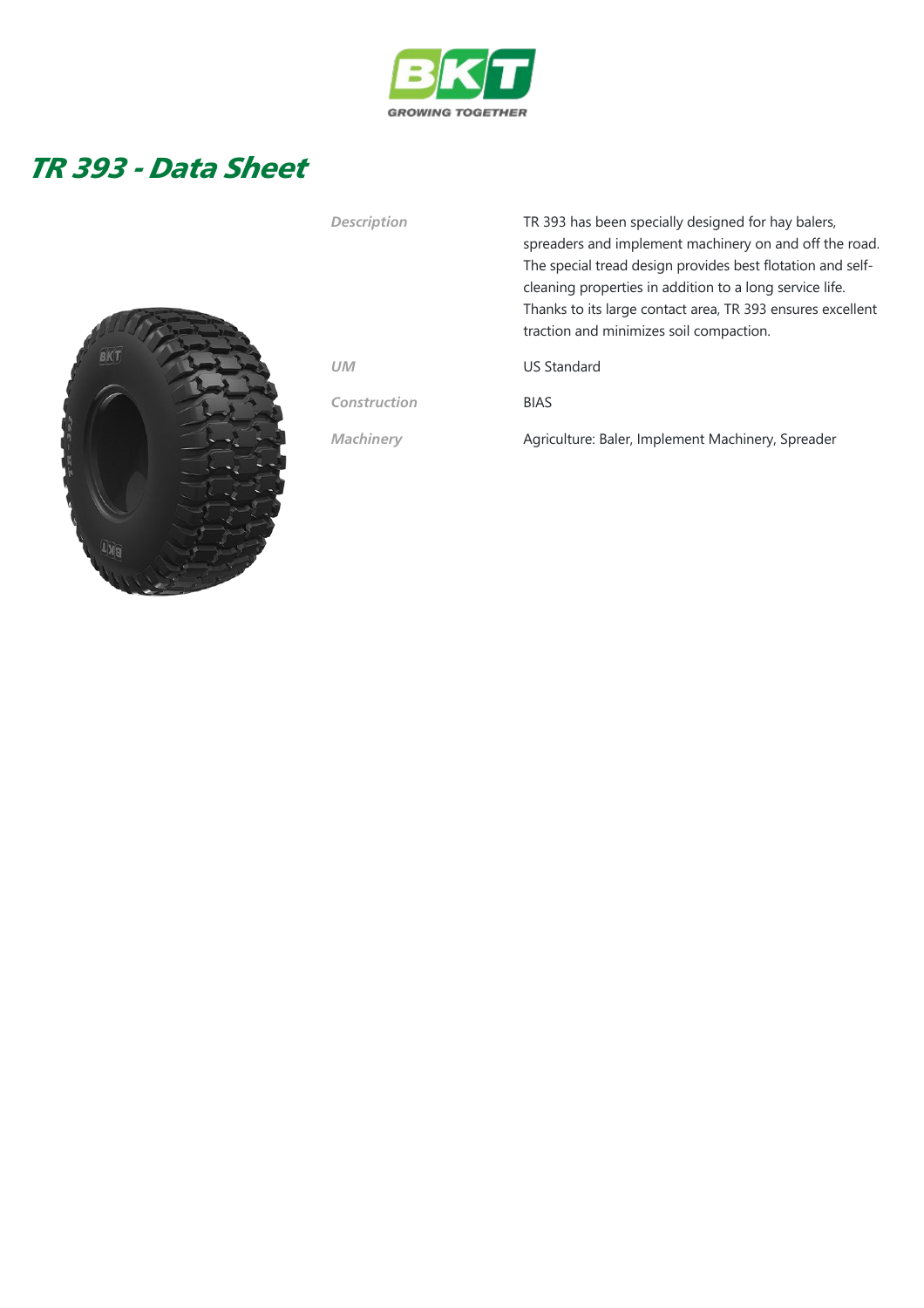

## TR 393 - Data Sheet



| <b>Description</b> | TR 393 has been specially designed for hay balers,<br>spreaders and implement machinery on and off the road.<br>The special tread design provides best flotation and self-<br>cleaning properties in addition to a long service life.<br>Thanks to its large contact area, TR 393 ensures excellent<br>traction and minimizes soil compaction. |
|--------------------|------------------------------------------------------------------------------------------------------------------------------------------------------------------------------------------------------------------------------------------------------------------------------------------------------------------------------------------------|
| <b>UM</b>          | <b>US Standard</b>                                                                                                                                                                                                                                                                                                                             |
| Construction       | <b>BIAS</b>                                                                                                                                                                                                                                                                                                                                    |
| <b>Machinery</b>   | Agriculture: Baler, Implement Machinery, Spreader                                                                                                                                                                                                                                                                                              |